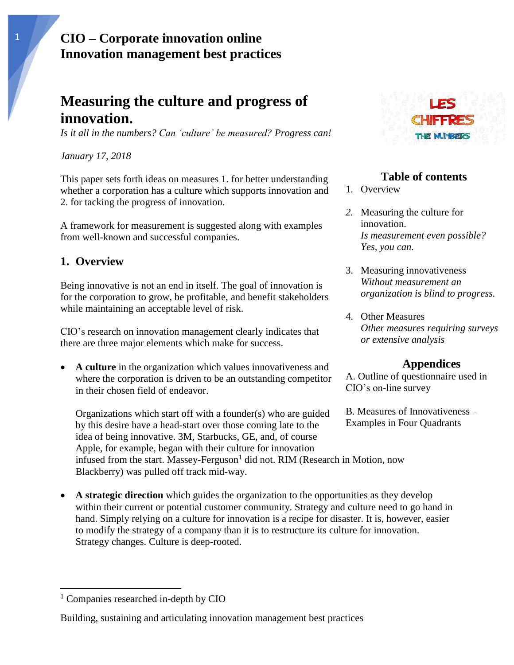# **Measuring the culture and progress of innovation.**

*Is it all in the numbers? Can 'culture' be measured? Progress can!*

#### *January 17, 2018*

This paper sets forth ideas on measures 1. for better understanding whether a corporation has a culture which supports innovation and 2. for tacking the progress of innovation.

A framework for measurement is suggested along with examples from well-known and successful companies.

#### **1. Overview**

Being innovative is not an end in itself. The goal of innovation is for the corporation to grow, be profitable, and benefit stakeholders while maintaining an acceptable level of risk.

CIO's research on innovation management clearly indicates that there are three major elements which make for success.

• **A culture** in the organization which values innovativeness and where the corporation is driven to be an outstanding competitor in their chosen field of endeavor.

Organizations which start off with a founder(s) who are guided by this desire have a head-start over those coming late to the idea of being innovative. 3M, Starbucks, GE, and, of course Apple, for example, began with their culture for innovation infused from the start. Massey-Ferguson<sup>1</sup> did not. RIM (Research in Motion, now Blackberry) was pulled off track mid-way.

A **strategic direction** which guides the organization to the opportunities as they develop within their current or potential customer community. Strategy and culture need to go hand in hand. Simply relying on a culture for innovation is a recipe for disaster. It is, however, easier to modify the strategy of a company than it is to restructure its culture for innovation. Strategy changes. Culture is deep-rooted.

 $\overline{\phantom{a}}$ 





#### **Table of contents**

- 1. Overview
- *2.* Measuring the culture for innovation. *Is measurement even possible? Yes, you can.*
- 3. Measuring innovativeness *Without measurement an organization is blind to progress.*
- 4. Other Measures *Other measures requiring surveys or extensive analysis*

#### **Appendices**

A. Outline of questionnaire used in CIO's on-line survey

B. Measures of Innovativeness – Examples in Four Quadrants

<sup>&</sup>lt;sup>1</sup> Companies researched in-depth by CIO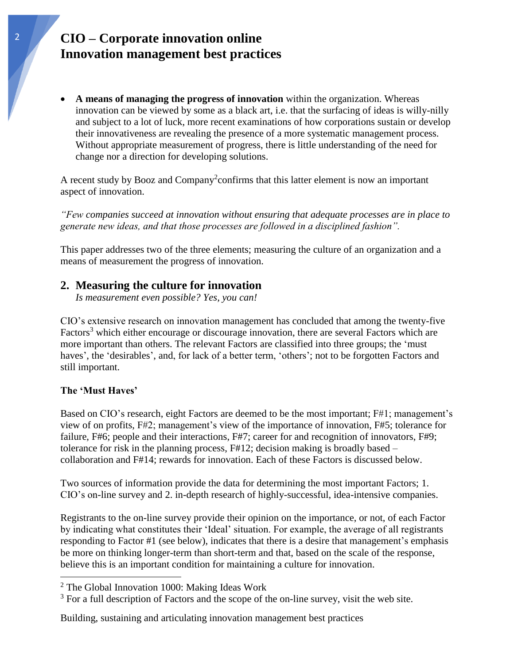• **A means of managing the progress of innovation** within the organization. Whereas innovation can be viewed by some as a black art, i.e. that the surfacing of ideas is willy-nilly and subject to a lot of luck, more recent examinations of how corporations sustain or develop their innovativeness are revealing the presence of a more systematic management process. Without appropriate measurement of progress, there is little understanding of the need for change nor a direction for developing solutions.

A recent study by Booz and Company<sup>2</sup> confirms that this latter element is now an important aspect of innovation.

*"Few companies succeed at innovation without ensuring that adequate processes are in place to generate new ideas, and that those processes are followed in a disciplined fashion".*

This paper addresses two of the three elements; measuring the culture of an organization and a means of measurement the progress of innovation.

#### **2. Measuring the culture for innovation**

*Is measurement even possible? Yes, you can!*

CIO's extensive research on innovation management has concluded that among the twenty-five Factors<sup>3</sup> which either encourage or discourage innovation, there are several Factors which are more important than others. The relevant Factors are classified into three groups; the 'must haves', the 'desirables', and, for lack of a better term, 'others'; not to be forgotten Factors and still important.

#### **The 'Must Haves'**

 $\overline{a}$ 

Based on CIO's research, eight Factors are deemed to be the most important; F#1; management's view of on profits, F#2; management's view of the importance of innovation, F#5; tolerance for failure, F#6; people and their interactions, F#7; career for and recognition of innovators, F#9; tolerance for risk in the planning process, F#12; decision making is broadly based – collaboration and F#14; rewards for innovation. Each of these Factors is discussed below.

Two sources of information provide the data for determining the most important Factors; 1. CIO's on-line survey and 2. in-depth research of highly-successful, idea-intensive companies.

Registrants to the on-line survey provide their opinion on the importance, or not, of each Factor by indicating what constitutes their 'Ideal' situation. For example, the average of all registrants responding to Factor #1 (see below), indicates that there is a desire that management's emphasis be more on thinking longer-term than short-term and that, based on the scale of the response, believe this is an important condition for maintaining a culture for innovation.

 $2$  The Global Innovation 1000: Making Ideas Work

<sup>&</sup>lt;sup>3</sup> For a full description of Factors and the scope of the on-line survey, visit the web site.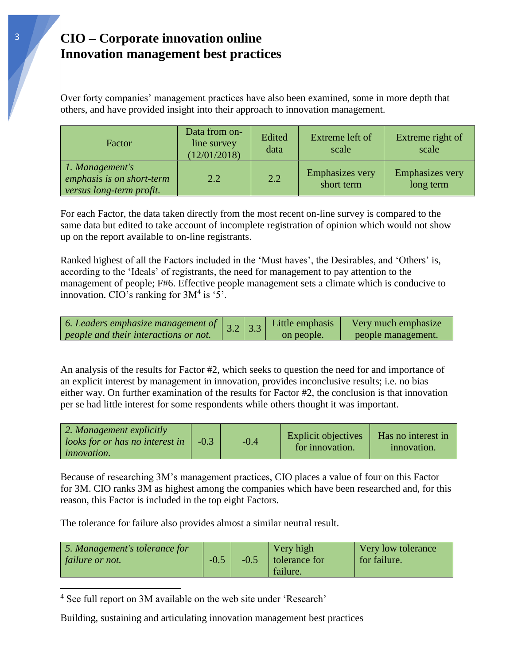Over forty companies' management practices have also been examined, some in more depth that others, and have provided insight into their approach to innovation management.

| Factor                                                                   | Data from on-<br>line survey<br>(12/01/2018) | Edited<br>data | Extreme left of<br>scale             | Extreme right of<br>scale           |
|--------------------------------------------------------------------------|----------------------------------------------|----------------|--------------------------------------|-------------------------------------|
| 1. Management's<br>emphasis is on short-term<br>versus long-term profit. | $2.2^{\circ}$                                | 2.2            | <b>Emphasizes very</b><br>short term | <b>Emphasizes very</b><br>long term |

For each Factor, the data taken directly from the most recent on-line survey is compared to the same data but edited to take account of incomplete registration of opinion which would not show up on the report available to on-line registrants.

Ranked highest of all the Factors included in the 'Must haves', the Desirables, and 'Others' is, according to the 'Ideals' of registrants, the need for management to pay attention to the management of people; F#6. Effective people management sets a climate which is conducive to innovation. CIO's ranking for  $3M<sup>4</sup>$  is '5'.



An analysis of the results for Factor #2, which seeks to question the need for and importance of an explicit interest by management in innovation, provides inconclusive results; i.e. no bias either way. On further examination of the results for Factor #2, the conclusion is that innovation per se had little interest for some respondents while others thought it was important.

| $\vert$ 2. Management explicitly<br>$\log s$ for or has no interest in<br><i>innovation.</i> | $-0.3$ | $-0.4$ | <b>Explicit objectives</b><br>for innovation. | Has no interest in<br>innovation. |
|----------------------------------------------------------------------------------------------|--------|--------|-----------------------------------------------|-----------------------------------|
|----------------------------------------------------------------------------------------------|--------|--------|-----------------------------------------------|-----------------------------------|

Because of researching 3M's management practices, CIO places a value of four on this Factor for 3M. CIO ranks 3M as highest among the companies which have been researched and, for this reason, this Factor is included in the top eight Factors.

The tolerance for failure also provides almost a similar neutral result.

| 5. Management's tolerance for<br>failure or not. | $-0.5$ | $-0.5$ | Very high<br>  tolerance for<br>failure. | Very low tolerance<br>for failure. |
|--------------------------------------------------|--------|--------|------------------------------------------|------------------------------------|
|--------------------------------------------------|--------|--------|------------------------------------------|------------------------------------|

<sup>4</sup> See full report on 3M available on the web site under 'Research'

 $\overline{\phantom{a}}$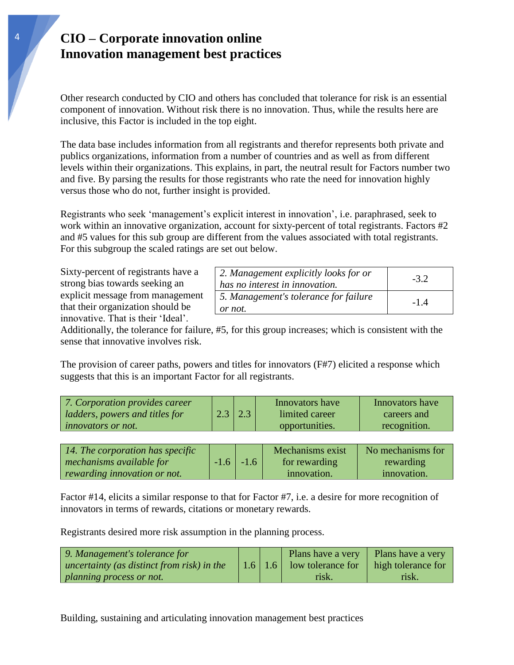Other research conducted by CIO and others has concluded that tolerance for risk is an essential component of innovation. Without risk there is no innovation. Thus, while the results here are inclusive, this Factor is included in the top eight.

The data base includes information from all registrants and therefor represents both private and publics organizations, information from a number of countries and as well as from different levels within their organizations. This explains, in part, the neutral result for Factors number two and five. By parsing the results for those registrants who rate the need for innovation highly versus those who do not, further insight is provided.

Registrants who seek 'management's explicit interest in innovation', i.e. paraphrased, seek to work within an innovative organization, account for sixty-percent of total registrants. Factors #2 and #5 values for this sub group are different from the values associated with total registrants. For this subgroup the scaled ratings are set out below.

Sixty-percent of registrants have a strong bias towards seeking an explicit message from management that their organization should be innovative. That is their 'Ideal'.

| 2. Management explicitly looks for or<br>has no interest in innovation. | $-3.2$ |
|-------------------------------------------------------------------------|--------|
| 5. Management's tolerance for failure<br>or not.                        | $-1.4$ |

Additionally, the tolerance for failure, #5, for this group increases; which is consistent with the sense that innovative involves risk.

The provision of career paths, powers and titles for innovators (F#7) elicited a response which suggests that this is an important Factor for all registrants.

| $2.3$   2.3<br>limited career<br>ladders, powers and titles for<br>careers and<br>recognition.<br>opportunities.<br><i>innovators or not.</i> | 7. Corporation provides career |  |  | Innovators have | Innovators have |
|-----------------------------------------------------------------------------------------------------------------------------------------------|--------------------------------|--|--|-----------------|-----------------|
|-----------------------------------------------------------------------------------------------------------------------------------------------|--------------------------------|--|--|-----------------|-----------------|

| $\vert$ 14. The corporation has specific |               | Mechanisms exist | No mechanisms for |
|------------------------------------------|---------------|------------------|-------------------|
| mechanisms available for                 | $-1.6$ $-1.6$ | for rewarding    | rewarding         |
| rewarding innovation or not.             |               | innovation.      | innovation.       |

Factor #14, elicits a similar response to that for Factor #7, i.e. a desire for more recognition of innovators in terms of rewards, citations or monetary rewards.

Registrants desired more risk assumption in the planning process.

| 9. Management's tolerance for                    |  | Plans have a very Plans have a very                |       |
|--------------------------------------------------|--|----------------------------------------------------|-------|
| $\mu$ uncertainty (as distinct from risk) in the |  | 1.6   1.6   low tolerance for   high tolerance for |       |
| planning process or not.                         |  | risk.                                              | risk. |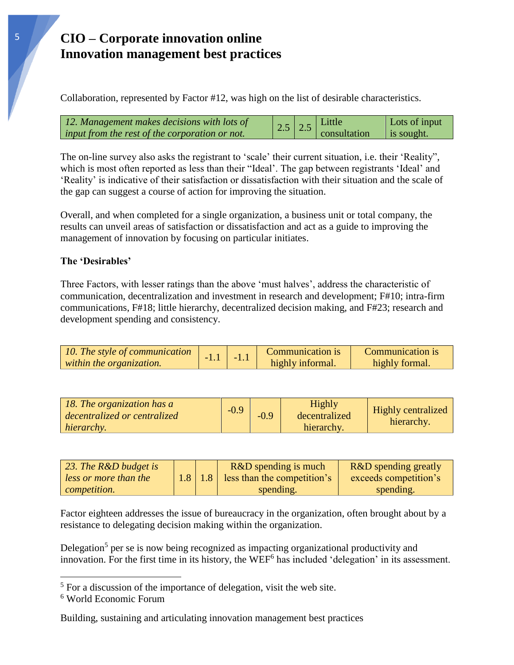Collaboration, represented by Factor #12, was high on the list of desirable characteristics.



The on-line survey also asks the registrant to 'scale' their current situation, i.e. their 'Reality", which is most often reported as less than their "Ideal'. The gap between registrants 'Ideal' and 'Reality' is indicative of their satisfaction or dissatisfaction with their situation and the scale of the gap can suggest a course of action for improving the situation.

Overall, and when completed for a single organization, a business unit or total company, the results can unveil areas of satisfaction or dissatisfaction and act as a guide to improving the management of innovation by focusing on particular initiates.

#### **The 'Desirables'**

Three Factors, with lesser ratings than the above 'must halves', address the characteristic of communication, decentralization and investment in research and development; F#10; intra-firm communications, F#18; little hierarchy, decentralized decision making, and F#23; research and development spending and consistency.

| 10. The style of communication |  | Communication is | Communication is |
|--------------------------------|--|------------------|------------------|
| within the organization.       |  | highly informal. | highly formal.   |

| 18. The organization has a<br>decentralized or centralized<br>hierarchy. | $-0.9$ | $-0.9$ | Highly<br>decentralized<br>hierarchy. | <b>Highly centralized</b><br>hierarchy. |
|--------------------------------------------------------------------------|--------|--------|---------------------------------------|-----------------------------------------|
|--------------------------------------------------------------------------|--------|--------|---------------------------------------|-----------------------------------------|

| 23. The $R\&D$ budget is |                  | R&D spending is much        | <b>R&amp;D</b> spending greatly |
|--------------------------|------------------|-----------------------------|---------------------------------|
| less or more than the    | 1.8 <sub>l</sub> | less than the competition's | exceeds competition's           |
| competition.             |                  | spending.                   | spending.                       |

Factor eighteen addresses the issue of bureaucracy in the organization, often brought about by a resistance to delegating decision making within the organization.

Delegation<sup>5</sup> per se is now being recognized as impacting organizational productivity and innovation. For the first time in its history, the WEF<sup>6</sup> has included 'delegation' in its assessment.

 $\overline{a}$ 

 $<sup>5</sup>$  For a discussion of the importance of delegation, visit the web site.</sup>

<sup>6</sup> World Economic Forum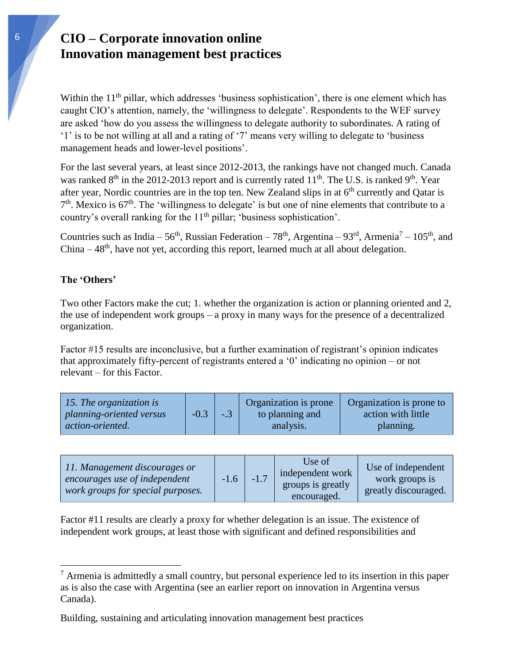Within the 11<sup>th</sup> pillar, which addresses 'business sophistication', there is one element which has caught CIO's attention, namely, the 'willingness to delegate'. Respondents to the WEF survey are asked 'how do you assess the willingness to delegate authority to subordinates. A rating of '1' is to be not willing at all and a rating of '7' means very willing to delegate to 'business management heads and lower-level positions'.

For the last several years, at least since 2012-2013, the rankings have not changed much. Canada was ranked  $8<sup>th</sup>$  in the 2012-2013 report and is currently rated 11<sup>th</sup>. The U.S. is ranked 9<sup>th</sup>. Year after year, Nordic countries are in the top ten. New Zealand slips in at  $6<sup>th</sup>$  currently and Qatar is  $7<sup>th</sup>$ . Mexico is 67<sup>th</sup>. The 'willingness to delegate' is but one of nine elements that contribute to a country's overall ranking for the 11<sup>th</sup> pillar; 'business sophistication'.

Countries such as India – 56<sup>th</sup>, Russian Federation – 78<sup>th</sup>, Argentina – 93<sup>rd</sup>, Armenia<sup>7</sup> – 105<sup>th</sup>, and  $China - 48<sup>th</sup>$ , have not yet, according this report, learned much at all about delegation.

#### **The 'Others'**

 $\overline{a}$ 

Two other Factors make the cut; 1. whether the organization is action or planning oriented and 2, the use of independent work groups – a proxy in many ways for the presence of a decentralized organization.

Factor #15 results are inconclusive, but a further examination of registrant's opinion indicates that approximately fifty-percent of registrants entered a '0' indicating no opinion – or not relevant – for this Factor.

| 15. The organization is<br>planning-oriented versus<br><i>action-oriented.</i> | $-0.3$ | $-.3$ | <b>Organization</b> is prone<br>to planning and<br>analysis. | Organization is prone to<br>action with little<br>planning. |
|--------------------------------------------------------------------------------|--------|-------|--------------------------------------------------------------|-------------------------------------------------------------|
|--------------------------------------------------------------------------------|--------|-------|--------------------------------------------------------------|-------------------------------------------------------------|

| 11. Management discourages or<br>encourages use of independent<br>work groups for special purposes. | $-1.6$ | $-1.7$ | Use of<br>independent work<br>groups is greatly<br>encouraged. | Use of independent<br>work groups is<br>greatly discouraged. |
|-----------------------------------------------------------------------------------------------------|--------|--------|----------------------------------------------------------------|--------------------------------------------------------------|
|-----------------------------------------------------------------------------------------------------|--------|--------|----------------------------------------------------------------|--------------------------------------------------------------|

Factor #11 results are clearly a proxy for whether delegation is an issue. The existence of independent work groups, at least those with significant and defined responsibilities and

 $<sup>7</sup>$  Armenia is admittedly a small country, but personal experience led to its insertion in this paper</sup> as is also the case with Argentina (see an earlier report on innovation in Argentina versus Canada).

Building, sustaining and articulating innovation management best practices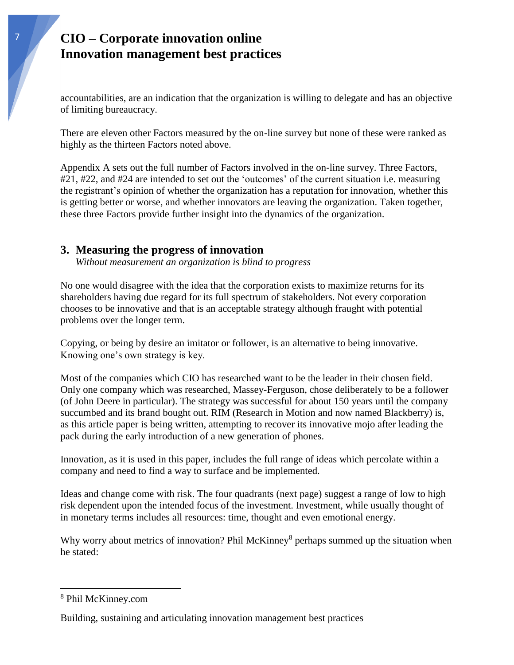accountabilities, are an indication that the organization is willing to delegate and has an objective of limiting bureaucracy.

There are eleven other Factors measured by the on-line survey but none of these were ranked as highly as the thirteen Factors noted above.

Appendix A sets out the full number of Factors involved in the on-line survey. Three Factors, #21, #22, and #24 are intended to set out the 'outcomes' of the current situation i.e. measuring the registrant's opinion of whether the organization has a reputation for innovation, whether this is getting better or worse, and whether innovators are leaving the organization. Taken together, these three Factors provide further insight into the dynamics of the organization.

#### **3. Measuring the progress of innovation**

*Without measurement an organization is blind to progress*

No one would disagree with the idea that the corporation exists to maximize returns for its shareholders having due regard for its full spectrum of stakeholders. Not every corporation chooses to be innovative and that is an acceptable strategy although fraught with potential problems over the longer term.

Copying, or being by desire an imitator or follower, is an alternative to being innovative. Knowing one's own strategy is key.

Most of the companies which CIO has researched want to be the leader in their chosen field. Only one company which was researched, Massey-Ferguson, chose deliberately to be a follower (of John Deere in particular). The strategy was successful for about 150 years until the company succumbed and its brand bought out. RIM (Research in Motion and now named Blackberry) is, as this article paper is being written, attempting to recover its innovative mojo after leading the pack during the early introduction of a new generation of phones.

Innovation, as it is used in this paper, includes the full range of ideas which percolate within a company and need to find a way to surface and be implemented.

Ideas and change come with risk. The four quadrants (next page) suggest a range of low to high risk dependent upon the intended focus of the investment. Investment, while usually thought of in monetary terms includes all resources: time, thought and even emotional energy.

Why worry about metrics of innovation? Phil McKinney<sup>8</sup> perhaps summed up the situation when he stated:

 $\overline{\phantom{a}}$ 

<sup>8</sup> Phil McKinney.com

Building, sustaining and articulating innovation management best practices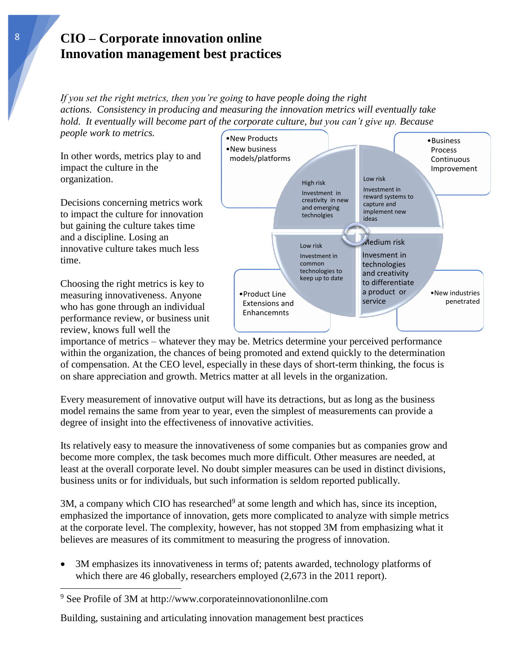*If you set the right metrics, then you're going to have people doing the right actions. Consistency in producing and measuring the innovation metrics will eventually take hold. It eventually will become part of the corporate culture, but you can't give up. Because people work to metrics.*

In other words, metrics play to and impact the culture in the organization.

Decisions concerning metrics work to impact the culture for innovation but gaining the culture takes time and a discipline. Losing an innovative culture takes much less time.

Choosing the right metrics is key to measuring innovativeness. Anyone who has gone through an individual performance review, or business unit review, knows full well the

 $\overline{\phantom{a}}$ 



importance of metrics – whatever they may be. Metrics determine your perceived performance within the organization, the chances of being promoted and extend quickly to the determination of compensation. At the CEO level, especially in these days of short-term thinking, the focus is on share appreciation and growth. Metrics matter at all levels in the organization.

Every measurement of innovative output will have its detractions, but as long as the business model remains the same from year to year, even the simplest of measurements can provide a degree of insight into the effectiveness of innovative activities.

Its relatively easy to measure the innovativeness of some companies but as companies grow and become more complex, the task becomes much more difficult. Other measures are needed, at least at the overall corporate level. No doubt simpler measures can be used in distinct divisions, business units or for individuals, but such information is seldom reported publically.

 $3M$ , a company which CIO has researched<sup>9</sup> at some length and which has, since its inception, emphasized the importance of innovation, gets more complicated to analyze with simple metrics at the corporate level. The complexity, however, has not stopped 3M from emphasizing what it believes are measures of its commitment to measuring the progress of innovation.

• 3M emphasizes its innovativeness in terms of; patents awarded, technology platforms of which there are 46 globally, researchers employed  $(2,673)$  in the 2011 report).

<sup>9</sup> See Profile of 3M at http://www.corporateinnovationonlilne.com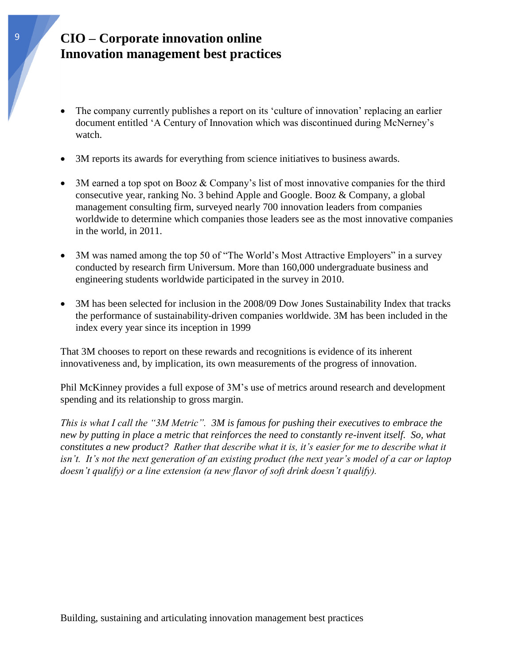- The company currently publishes a report on its 'culture of innovation' replacing an earlier document entitled 'A Century of Innovation which was discontinued during McNerney's watch.
- 3M reports its awards for everything from science initiatives to business awards.
- 3M earned a top spot on Booz & Company's list of most innovative companies for the third consecutive year, ranking No. 3 behind Apple and Google. Booz & Company, a global management consulting firm, surveyed nearly 700 innovation leaders from companies worldwide to determine which companies those leaders see as the most innovative companies in the world, in 2011.
- 3M was named among the top 50 of "The World's Most Attractive Employers" in a survey conducted by research firm Universum. More than 160,000 undergraduate business and engineering students worldwide participated in the survey in 2010.
- 3M has been selected for inclusion in the 2008/09 Dow Jones Sustainability Index that tracks the performance of sustainability-driven companies worldwide. 3M has been included in the index every year since its inception in 1999

That 3M chooses to report on these rewards and recognitions is evidence of its inherent innovativeness and, by implication, its own measurements of the progress of innovation.

Phil McKinney provides a full expose of 3M's use of metrics around research and development spending and its relationship to gross margin.

*This is what I call the "3M Metric". 3M is famous for pushing their executives to embrace the new by putting in place a metric that reinforces the need to constantly re-invent itself. So, what constitutes a new product? Rather that describe what it is, it's easier for me to describe what it isn't. It's not the next generation of an existing product (the next year's model of a car or laptop doesn't qualify) or a line extension (a new flavor of soft drink doesn't qualify).*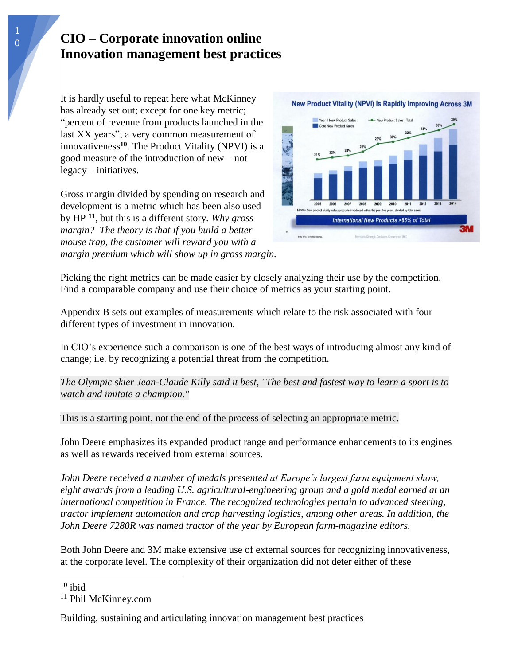It is hardly useful to repeat here what McKinney has already set out; except for one key metric; "percent of revenue from products launched in the last XX years"; a very common measurement of innovativeness**<sup>10</sup>** . The Product Vitality (NPVI) is a good measure of the introduction of new – not legacy – initiatives.

Gross margin divided by spending on research and development is a metric which has been also used by HP **<sup>11</sup>**, but this is a different story. *Why gross margin? The theory is that if you build a better mouse trap, the customer will reward you with a margin premium which will show up in gross margin.*



Picking the right metrics can be made easier by closely analyzing their use by the competition. Find a comparable company and use their choice of metrics as your starting point.

Appendix B sets out examples of measurements which relate to the risk associated with four different types of investment in innovation.

In CIO's experience such a comparison is one of the best ways of introducing almost any kind of change; i.e. by recognizing a potential threat from the competition.

*The Olympic skier Jean-Claude Killy said it best, "The best and fastest way to learn a sport is to watch and imitate a champion."* 

This is a starting point, not the end of the process of selecting an appropriate metric.

John Deere emphasizes its expanded product range and performance enhancements to its engines as well as rewards received from external sources.

*John Deere received a number of medals presented at Europe's largest farm equipment show, eight awards from a leading U.S. agricultural-engineering group and a gold medal earned at an international competition in France. The recognized technologies pertain to advanced steering, tractor implement automation and crop harvesting logistics, among other areas. In addition, the John Deere 7280R was named tractor of the year by European farm-magazine editors.*

Both John Deere and 3M make extensive use of external sources for recognizing innovativeness, at the corporate level. The complexity of their organization did not deter either of these

 $\overline{a}$ 

 $10$  ibid

<sup>&</sup>lt;sup>11</sup> Phil McKinney.com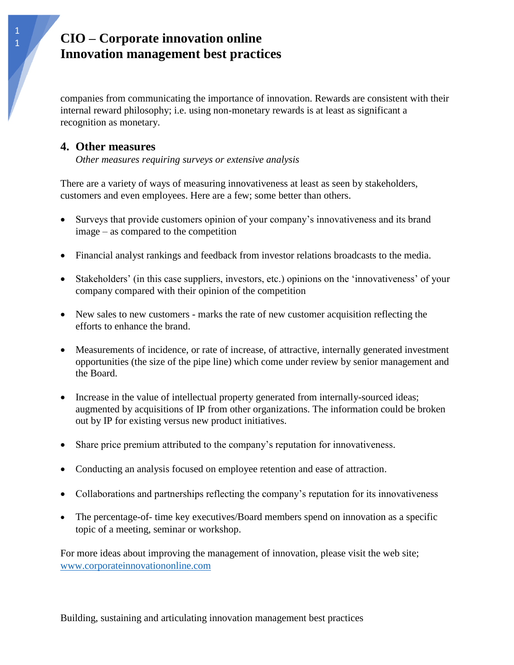companies from communicating the importance of innovation. Rewards are consistent with their internal reward philosophy; i.e. using non-monetary rewards is at least as significant a recognition as monetary.

#### **4. Other measures**

*Other measures requiring surveys or extensive analysis*

There are a variety of ways of measuring innovativeness at least as seen by stakeholders, customers and even employees. Here are a few; some better than others.

- Surveys that provide customers opinion of your company's innovativeness and its brand image – as compared to the competition
- Financial analyst rankings and feedback from investor relations broadcasts to the media.
- Stakeholders' (in this case suppliers, investors, etc.) opinions on the 'innovativeness' of your company compared with their opinion of the competition
- New sales to new customers marks the rate of new customer acquisition reflecting the efforts to enhance the brand.
- Measurements of incidence, or rate of increase, of attractive, internally generated investment opportunities (the size of the pipe line) which come under review by senior management and the Board.
- Increase in the value of intellectual property generated from internally-sourced ideas; augmented by acquisitions of IP from other organizations. The information could be broken out by IP for existing versus new product initiatives.
- Share price premium attributed to the company's reputation for innovativeness.
- Conducting an analysis focused on employee retention and ease of attraction.
- Collaborations and partnerships reflecting the company's reputation for its innovativeness
- The percentage-of- time key executives/Board members spend on innovation as a specific topic of a meeting, seminar or workshop.

For more ideas about improving the management of innovation, please visit the web site; [www.corporateinnovationonline.com](http://www.corporateinnovationonline.com/)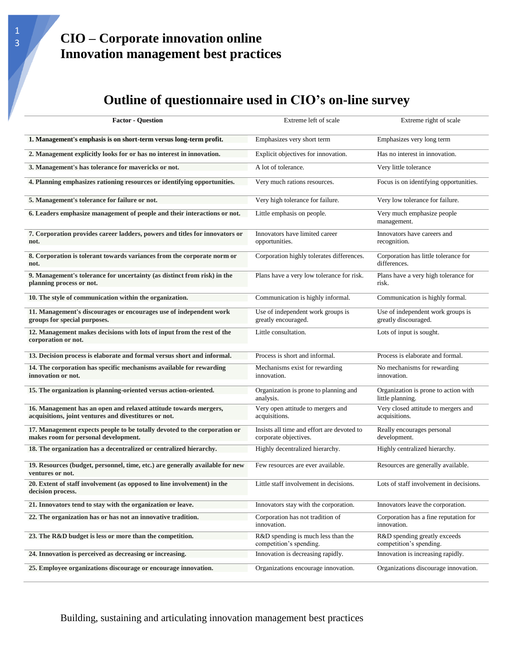# **Outline of questionnaire used in CIO's on-line survey**

| <b>Factor - Question</b>                                                                                                  | Extreme left of scale                                               | Extreme right of scale                                    |
|---------------------------------------------------------------------------------------------------------------------------|---------------------------------------------------------------------|-----------------------------------------------------------|
| 1. Management's emphasis is on short-term versus long-term profit.                                                        | Emphasizes very short term                                          | Emphasizes very long term                                 |
| 2. Management explicitly looks for or has no interest in innovation.                                                      | Explicit objectives for innovation.                                 | Has no interest in innovation.                            |
| 3. Management's has tolerance for mavericks or not.                                                                       | A lot of tolerance.                                                 | Very little tolerance                                     |
| 4. Planning emphasizes rationing resources or identifying opportunities.                                                  | Very much rations resources.                                        | Focus is on identifying opportunities.                    |
| 5. Management's tolerance for failure or not.                                                                             | Very high tolerance for failure.                                    | Very low tolerance for failure.                           |
| 6. Leaders emphasize management of people and their interactions or not.                                                  | Little emphasis on people.                                          | Very much emphasize people<br>management.                 |
| 7. Corporation provides career ladders, powers and titles for innovators or<br>not.                                       | Innovators have limited career<br>opportunities.                    | Innovators have careers and<br>recognition.               |
| 8. Corporation is tolerant towards variances from the corporate norm or<br>not.                                           | Corporation highly tolerates differences.                           | Corporation has little tolerance for<br>differences.      |
| 9. Management's tolerance for uncertainty (as distinct from risk) in the<br>planning process or not.                      | Plans have a very low tolerance for risk.                           | Plans have a very high tolerance for<br>risk.             |
| 10. The style of communication within the organization.                                                                   | Communication is highly informal.                                   | Communication is highly formal.                           |
| 11. Management's discourages or encourages use of independent work<br>groups for special purposes.                        | Use of independent work groups is<br>greatly encouraged.            | Use of independent work groups is<br>greatly discouraged. |
| 12. Management makes decisions with lots of input from the rest of the<br>corporation or not.                             | Little consultation.                                                | Lots of input is sought.                                  |
| 13. Decision process is elaborate and formal versus short and informal.                                                   | Process is short and informal.                                      | Process is elaborate and formal.                          |
| 14. The corporation has specific mechanisms available for rewarding<br>innovation or not.                                 | Mechanisms exist for rewarding<br>innovation.                       | No mechanisms for rewarding<br>innovation.                |
| 15. The organization is planning-oriented versus action-oriented.                                                         | Organization is prone to planning and<br>analysis.                  | Organization is prone to action with<br>little planning.  |
| 16. Management has an open and relaxed attitude towards mergers,<br>acquisitions, joint ventures and divestitures or not. | Very open attitude to mergers and<br>acquisitions.                  | Very closed attitude to mergers and<br>acquisitions.      |
| 17. Management expects people to be totally devoted to the corporation or<br>makes room for personal development.         | Insists all time and effort are devoted to<br>corporate objectives. | Really encourages personal<br>development.                |
| 18. The organization has a decentralized or centralized hierarchy.                                                        | Highly decentralized hierarchy.                                     | Highly centralized hierarchy.                             |
| 19. Resources (budget, personnel, time, etc.) are generally available for new<br>ventures or not.                         | Few resources are ever available.                                   | Resources are generally available.                        |
| 20. Extent of staff involvement (as opposed to line involvement) in the<br>decision process.                              | Little staff involvement in decisions.                              | Lots of staff involvement in decisions.                   |
| 21. Innovators tend to stay with the organization or leave.                                                               | Innovators stay with the corporation.                               | Innovators leave the corporation.                         |
| 22. The organization has or has not an innovative tradition.                                                              | Corporation has not tradition of<br>innovation.                     | Corporation has a fine reputation for<br>innovation.      |
| 23. The R&D budget is less or more than the competition.                                                                  | R&D spending is much less than the<br>competition's spending.       | R&D spending greatly exceeds<br>competition's spending.   |
| 24. Innovation is perceived as decreasing or increasing.                                                                  | Innovation is decreasing rapidly.                                   | Innovation is increasing rapidly.                         |
| 25. Employee organizations discourage or encourage innovation.                                                            | Organizations encourage innovation.                                 | Organizations discourage innovation.                      |